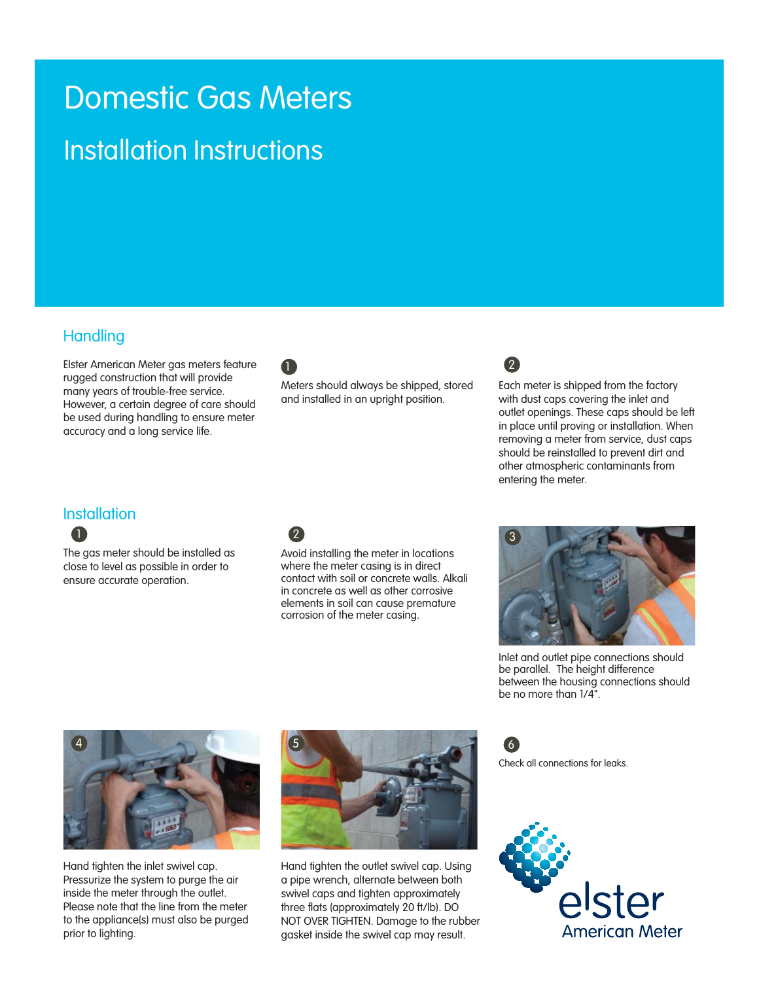# Domestic Gas Meters

## Installation Instructions

#### **Handling**

Elster American Meter gas meters feature rugged construction that will provide many years of trouble-free service. However, a certain degree of care should be used during handling to ensure meter accuracy and a long service life.



Meters should always be shipped, stored and installed in an upright position.



Each meter is shipped from the factory with dust caps covering the inlet and outlet openings. These caps should be left in place until proving or installation. When removing a meter from service, dust caps should be reinstalled to prevent dirt and other atmospheric contaminants from entering the meter.

#### **Installation**

**A** 

The gas meter should be installed as close to level as possible in order to ensure accurate operation.

### 2

Avoid installing the meter in locations where the meter casing is in direct contact with soil or concrete walls. Alkali in concrete as well as other corrosive elements in soil can cause premature corrosion of the meter casing.



Inlet and outlet pipe connections should be parallel. The height difference between the housing connections should be no more than 1/4".



Hand tighten the inlet swivel cap. Pressurize the system to purge the air inside the meter through the outlet. Please note that the line from the meter to the appliance(s) must also be purged prior to lighting.



Hand tighten the outlet swivel cap. Using a pipe wrench, alternate between both swivel caps and tighten approximately three flats (approximately 20 ft/lb). DO NOT OVER TIGHTEN. Damage to the rubber gasket inside the swivel cap may result.

Check all connections for leaks. 6